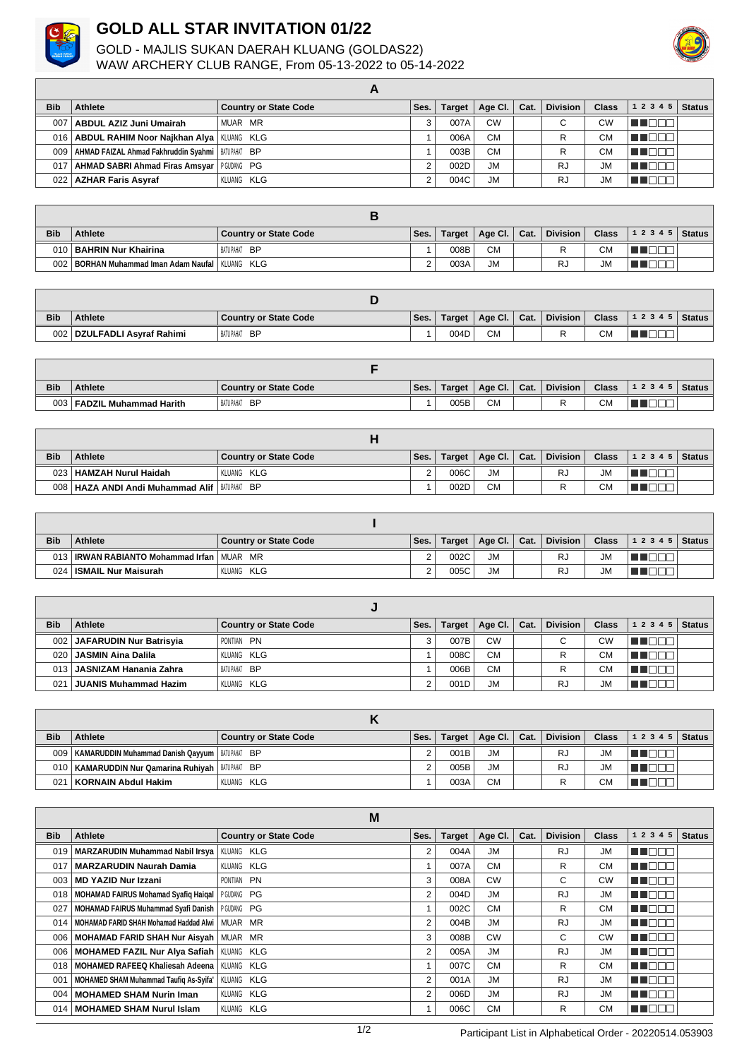

## **GOLD ALL STAR INVITATION 01/22**

GOLD - MAJLIS SUKAN DAERAH KLUANG (GOLDAS22) WAW ARCHERY CLUB RANGE, From 05-13-2022 to 05-14-2022



| <b>Bib</b> | Athlete                                                   | <b>Country or State Code</b> | Ses. | Target | Age Cl.   | Cat. | <b>Division</b> | Class     | 12345 | <b>Status</b> |
|------------|-----------------------------------------------------------|------------------------------|------|--------|-----------|------|-----------------|-----------|-------|---------------|
|            | 007   ABDUL AZIZ Juni Umairah                             | MUAR MR                      |      | 007A   | <b>CW</b> |      |                 | CW        |       |               |
|            | 016   ABDUL RAHIM Noor Najkhan Alya   KLUANG KLG          |                              |      | 006A   | <b>CM</b> |      | R               | <b>CM</b> |       |               |
|            | 009   AHMAD FAIZAL Ahmad Fakhruddin Svahmi   BATUPAHAT BP |                              |      | 003B   | <b>CM</b> |      |                 | <b>CM</b> |       |               |
| 017        | AHMAD SABRI Ahmad Firas Amsyar   PGUDANG PG               |                              | ົ    | 002D   | <b>JM</b> |      | RJ              | <b>JM</b> |       |               |
|            | 022   AZHAR Faris Asyraf                                  | KLUANG KLG                   | ົ    | 004C   | <b>JM</b> |      | <b>RJ</b>       | <b>JM</b> |       |               |

**A**

| <b>Bib</b> | <b>Athlete</b>                                    | Country or State Code | Ses. | Target | Age Cl.   | Cat. | Division | <b>Class</b>         | $12345$ Status |  |
|------------|---------------------------------------------------|-----------------------|------|--------|-----------|------|----------|----------------------|----------------|--|
|            | 010   BAHRIN Nur Khairina                         | BATUPAHAT BP          |      | 008B   | <b>CM</b> |      | ₽        | CМ                   |                |  |
| 002        | ! I BORHAN Muhammad Iman Adam Naufal   KLUANG KLG |                       |      | 003A   | <b>JM</b> |      | Ru       | $\mathbf{I}$<br>UIVI |                |  |

| <b>Bib</b>       | <b>Athlete</b>               | <b>Country or State Code</b> | Ses. | Target | Age Cl.   | Cat. | <b>Division</b> | <b>Class</b> | $ 12345 $ Status |  |
|------------------|------------------------------|------------------------------|------|--------|-----------|------|-----------------|--------------|------------------|--|
| 002 <sub>1</sub> | 2 ∣ DZULFADLI Asvraf Rahimi⊣ | . BATU PAHAT<br><b>BP</b>    |      | 004D   | <b>CM</b> |      |                 | ر ۲<br>∪™    |                  |  |

| <b>Bib</b> | <b>Athlete</b>                | <b>Country or State Code</b> | Ses. | Target | Age Cl.   | Cat. | <b>Division</b> | <b>Class</b> | 1 2 3 4 5 | Status |
|------------|-------------------------------|------------------------------|------|--------|-----------|------|-----------------|--------------|-----------|--------|
| 003        | <b>FADZIL Muhammad Harith</b> | BATU PAHAT<br><b>BP</b>      |      | 005B   | <b>CM</b> |      |                 | <b>CM</b>    |           |        |

| <b>Bib</b> | <b>Athlete</b>                                    | <b>Country or State Code</b> | Ses. | Target | Age Cl.   Cat. | <b>Division</b> | <b>Class</b> | 12345 | <b>Status</b> |
|------------|---------------------------------------------------|------------------------------|------|--------|----------------|-----------------|--------------|-------|---------------|
| 023        | 8   HAMZAH Nurul Haidah                           | KLUANG KLG                   |      | 006C   | <b>JM</b>      | RJ              | <b>JM</b>    |       |               |
|            | 008   HAZA ANDI Andi Muhammad Alif   BATUPAHAT BP |                              |      | 002D   | <b>CM</b>      |                 | <b>CM</b>    |       |               |

| <b>Bib</b> | <b>Athlete</b>                                 | <b>Country or State Code</b> | Ses. | Target | Age Cl.   Cat. | <b>Division</b> | <b>Class</b> | $ 12345 $ Status |  |
|------------|------------------------------------------------|------------------------------|------|--------|----------------|-----------------|--------------|------------------|--|
| 013        | <b>IRWAN RABIANTO Mohammad Irfan   MUAR MR</b> |                              |      | 002C   | <b>JM</b>      | <b>RJ</b>       | <b>JM</b>    |                  |  |
| 024        | ISMAIL Nur Maisurah                            | KLUANG KLG                   |      | 005C   | <b>JM</b>      | <b>RJ</b>       | <b>JM</b>    |                  |  |

| <b>Bib</b>      | Athlete                      | <b>Country or State Code</b> | Ses. | <b>Target</b> | Age Cl. $\vert$ | Cat. | <b>Division</b> | <b>Class</b> | 1 2 3 4 5 | <b>Status</b> |
|-----------------|------------------------------|------------------------------|------|---------------|-----------------|------|-----------------|--------------|-----------|---------------|
|                 | 002 JAFARUDIN Nur Batrisyia  | PONTIAN PN                   |      | 007B          | <b>CW</b>       |      | С               | CW           |           |               |
| 020             | <b>JASMIN Aina Dalila</b>    | KLUANG KLG                   |      | 008C          | <b>CM</b>       |      | R               | СM           |           |               |
|                 | 013   JASNIZAM Hanania Zahra | BATUPAHAT BP                 |      | 006B          | <b>CM</b>       |      |                 | СM           |           |               |
| 02 <sup>1</sup> | <b>JUANIS Muhammad Hazim</b> | KLUANG KLG                   |      | 001D          | <b>JM</b>       |      | RJ              | <b>JM</b>    |           |               |

| <b>Bib</b> | <b>Athlete</b>                                         | <b>Country or State Code</b> | Ses. | <b>Target</b> | Age Cl.   Cat. | <b>Division</b> | <b>Class</b> | 12345 | Status |
|------------|--------------------------------------------------------|------------------------------|------|---------------|----------------|-----------------|--------------|-------|--------|
|            | 009   KAMARUDDIN Muhammad Danish Qayyum   BATUPAHAT BP |                              |      | 001B          | <b>JM</b>      | <b>RJ</b>       | <b>JM</b>    |       |        |
|            | 010   KAMARUDDIN Nur Qamarina Ruhiyah   BATUPAHAT BP   |                              |      | 005B          | <b>JM</b>      | RJ              | <b>JM</b>    |       |        |
| 021        | KORNAIN Abdul Hakim                                    | KLUANG KLG                   |      | 003A          | <b>CM</b>      |                 | СM           |       |        |

|            |                                                   | M                            |      |               |           |      |                 |              |               |               |
|------------|---------------------------------------------------|------------------------------|------|---------------|-----------|------|-----------------|--------------|---------------|---------------|
| <b>Bib</b> | <b>Athlete</b>                                    | <b>Country or State Code</b> | Ses. | <b>Target</b> | Age CI.   | Cat. | <b>Division</b> | <b>Class</b> | 1 2 3 4 5     | <b>Status</b> |
| 019        | <b>MARZARUDIN Muhammad Nabil Irsya</b>            | KLUANG KLG                   | 2    | 004A          | <b>JM</b> |      | RJ              | <b>JM</b>    | $\P^+$<br>- 1 |               |
| 017        | <b>MARZARUDIN Naurah Damia</b>                    | KLUANG KLG                   |      | 007A          | <b>CM</b> |      | R               | <b>CM</b>    | T E E E       |               |
| 003        | <b>MD YAZID Nur Izzani</b>                        | PONTIAN PN                   | 3    | 008A          | <b>CW</b> |      | C               | <b>CW</b>    | INF<br>H      |               |
| 018        | <b>MOHAMAD FAIRUS Mohamad Syafiq Haigal</b>       | PGUDANG PG                   | 2    | 004D          | JM.       |      | RJ              | <b>JM</b>    | H             |               |
| 027        | MOHAMAD FAIRUS Muhammad Syafi Danish   PGUDANG PG |                              |      | 002C          | <b>CM</b> |      | R               | <b>CM</b>    | H             |               |
| 014        | MOHAMAD FARID SHAH Mohamad Haddad Alwi            | MUAR MR                      | 2    | 004B          | <b>JM</b> |      | <b>RJ</b>       | <b>JM</b>    | TENT          |               |
| 006        | <b>MOHAMAD FARID SHAH Nur Aisyah</b>              | MUAR MR                      | 3    | 008B          | <b>CW</b> |      | C               | <b>CW</b>    |               |               |
| 006        | <b>MOHAMED FAZIL Nur Alya Safiah  </b>            | KLUANG KLG                   | 2    | 005A          | <b>JM</b> |      | <b>RJ</b>       | <b>JM</b>    | IПF<br>H      |               |
| 018        | <b>MOHAMED RAFEEQ Khaliesah Adeena</b>            | KLUANG KLG                   |      | 007C          | <b>CM</b> |      | R.              | <b>CM</b>    | - 1           |               |
| 001        | <b>MOHAMED SHAM Muhammad Taufig As-Syifa'</b>     | KLUANG KLG                   | 2    | 001A          | <b>JM</b> |      | <b>RJ</b>       | <b>JM</b>    | ıПГ<br>W      |               |
| 004        | <b>MOHAMED SHAM Nurin Iman</b>                    | <b>KLUANG KLG</b>            | 2    | 006D          | <b>JM</b> |      | RJ              | <b>JM</b>    | ıПГ<br>H      |               |
| 014        | <b>MOHAMED SHAM Nurul Islam</b>                   | KLUANG KLG                   |      | 006C          | <b>CM</b> |      | R               | СM           |               |               |